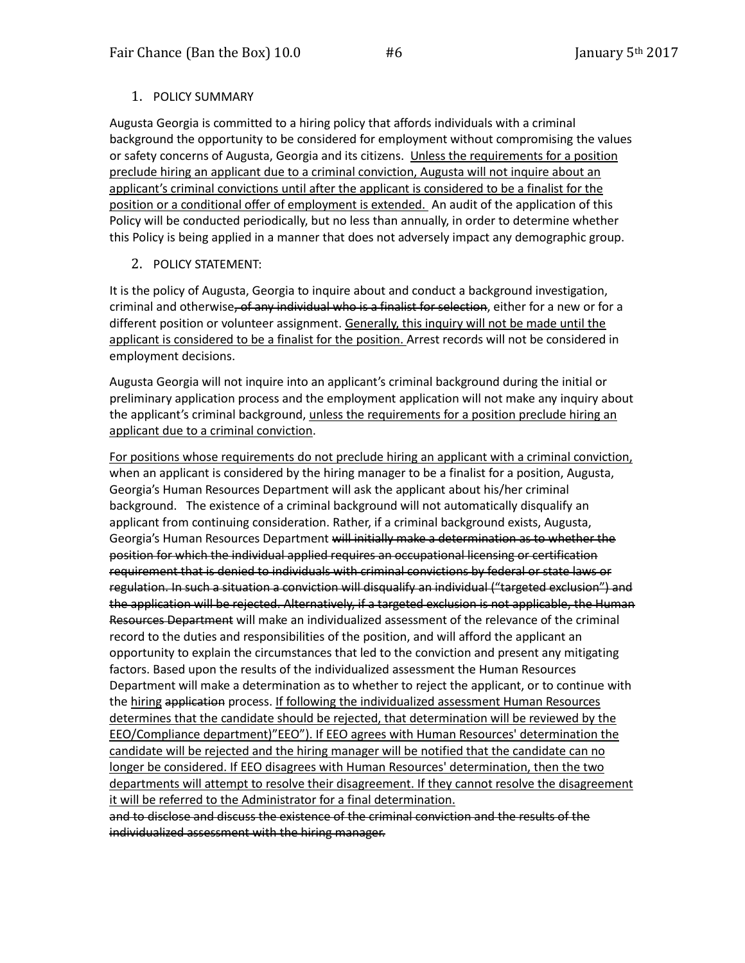## 1. POLICY SUMMARY

Augusta Georgia is committed to a hiring policy that affords individuals with a criminal background the opportunity to be considered for employment without compromising the values or safety concerns of Augusta, Georgia and its citizens. Unless the requirements for a position preclude hiring an applicant due to a criminal conviction, Augusta will not inquire about an applicant's criminal convictions until after the applicant is considered to be a finalist for the position or a conditional offer of employment is extended. An audit of the application of this Policy will be conducted periodically, but no less than annually, in order to determine whether this Policy is being applied in a manner that does not adversely impact any demographic group.

## 2. POLICY STATEMENT:

It is the policy of Augusta, Georgia to inquire about and conduct a background investigation, criminal and otherwise, of any individual who is a finalist for selection, either for a new or for a different position or volunteer assignment. Generally, this inquiry will not be made until the applicant is considered to be a finalist for the position. Arrest records will not be considered in employment decisions.

Augusta Georgia will not inquire into an applicant's criminal background during the initial or preliminary application process and the employment application will not make any inquiry about the applicant's criminal background, unless the requirements for a position preclude hiring an applicant due to a criminal conviction.

For positions whose requirements do not preclude hiring an applicant with a criminal conviction, when an applicant is considered by the hiring manager to be a finalist for a position, Augusta, Georgia's Human Resources Department will ask the applicant about his/her criminal background. The existence of a criminal background will not automatically disqualify an applicant from continuing consideration. Rather, if a criminal background exists, Augusta, Georgia's Human Resources Department will initially make a determination as to whether the position for which the individual applied requires an occupational licensing or certification requirement that is denied to individuals with criminal convictions by federal or state laws or regulation. In such a situation a conviction will disqualify an individual ("targeted exclusion") and the application will be rejected. Alternatively, if a targeted exclusion is not applicable, the Human Resources Department will make an individualized assessment of the relevance of the criminal record to the duties and responsibilities of the position, and will afford the applicant an opportunity to explain the circumstances that led to the conviction and present any mitigating factors. Based upon the results of the individualized assessment the Human Resources Department will make a determination as to whether to reject the applicant, or to continue with the hiring application process. If following the individualized assessment Human Resources determines that the candidate should be rejected, that determination will be reviewed by the EEO/Compliance department)"EEO"). If EEO agrees with Human Resources' determination the candidate will be rejected and the hiring manager will be notified that the candidate can no longer be considered. If EEO disagrees with Human Resources' determination, then the two departments will attempt to resolve their disagreement. If they cannot resolve the disagreement it will be referred to the Administrator for a final determination.

and to disclose and discuss the existence of the criminal conviction and the results of the individualized assessment with the hiring manager.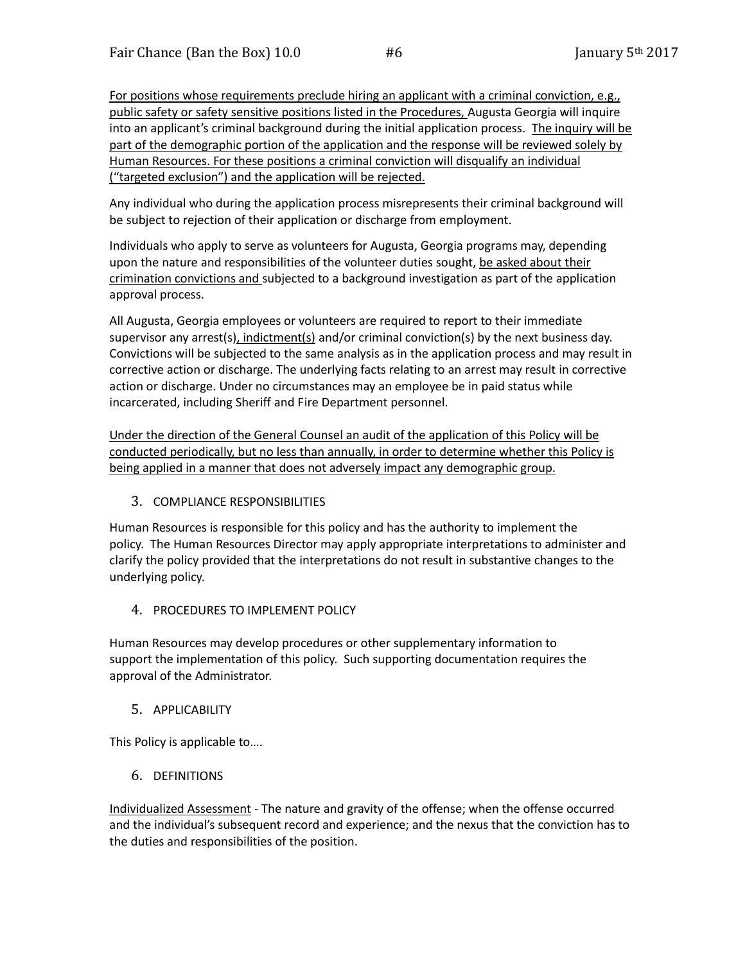For positions whose requirements preclude hiring an applicant with a criminal conviction, e.g., public safety or safety sensitive positions listed in the Procedures, Augusta Georgia will inquire into an applicant's criminal background during the initial application process. The inquiry will be part of the demographic portion of the application and the response will be reviewed solely by Human Resources. For these positions a criminal conviction will disqualify an individual ("targeted exclusion") and the application will be rejected.

Any individual who during the application process misrepresents their criminal background will be subject to rejection of their application or discharge from employment.

Individuals who apply to serve as volunteers for Augusta, Georgia programs may, depending upon the nature and responsibilities of the volunteer duties sought, be asked about their crimination convictions and subjected to a background investigation as part of the application approval process.

All Augusta, Georgia employees or volunteers are required to report to their immediate supervisor any arrest(s), indictment(s) and/or criminal conviction(s) by the next business day. Convictions will be subjected to the same analysis as in the application process and may result in corrective action or discharge. The underlying facts relating to an arrest may result in corrective action or discharge. Under no circumstances may an employee be in paid status while incarcerated, including Sheriff and Fire Department personnel.

Under the direction of the General Counsel an audit of the application of this Policy will be conducted periodically, but no less than annually, in order to determine whether this Policy is being applied in a manner that does not adversely impact any demographic group.

3. COMPLIANCE RESPONSIBILITIES

Human Resources is responsible for this policy and has the authority to implement the policy. The Human Resources Director may apply appropriate interpretations to administer and clarify the policy provided that the interpretations do not result in substantive changes to the underlying policy.

4. PROCEDURES TO IMPLEMENT POLICY

Human Resources may develop procedures or other supplementary information to support the implementation of this policy. Such supporting documentation requires the approval of the Administrator.

## 5. APPLICABILITY

This Policy is applicable to….

6. DEFINITIONS

Individualized Assessment - The nature and gravity of the offense; when the offense occurred and the individual's subsequent record and experience; and the nexus that the conviction has to the duties and responsibilities of the position.